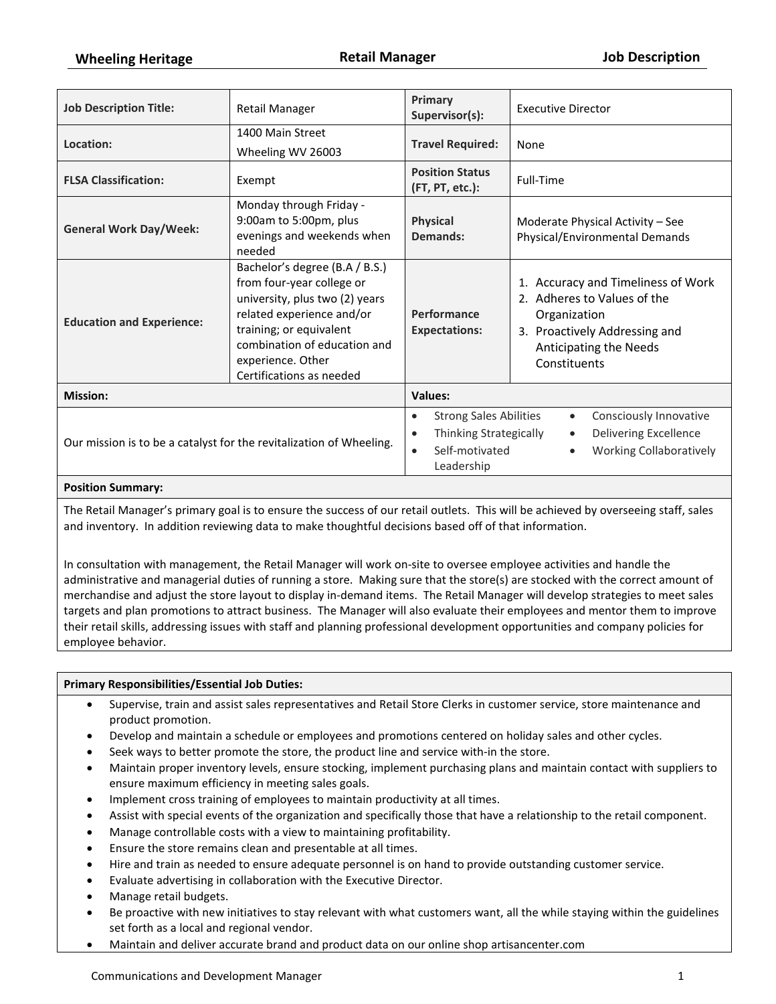| <b>Job Description Title:</b>                                       | Retail Manager                                                                                                                                                                                                                         | Primary<br>Supervisor(s):                                                                                                                                                                                                                     | <b>Executive Director</b>                                                                                                                                    |  |
|---------------------------------------------------------------------|----------------------------------------------------------------------------------------------------------------------------------------------------------------------------------------------------------------------------------------|-----------------------------------------------------------------------------------------------------------------------------------------------------------------------------------------------------------------------------------------------|--------------------------------------------------------------------------------------------------------------------------------------------------------------|--|
| Location:                                                           | 1400 Main Street                                                                                                                                                                                                                       | <b>Travel Required:</b>                                                                                                                                                                                                                       | None                                                                                                                                                         |  |
|                                                                     | Wheeling WV 26003                                                                                                                                                                                                                      |                                                                                                                                                                                                                                               |                                                                                                                                                              |  |
| <b>FLSA Classification:</b>                                         | Exempt                                                                                                                                                                                                                                 | <b>Position Status</b><br>(FT, PT, etc.):                                                                                                                                                                                                     | Full-Time                                                                                                                                                    |  |
| <b>General Work Day/Week:</b>                                       | Monday through Friday -<br>9:00am to 5:00pm, plus<br>evenings and weekends when<br>needed                                                                                                                                              | <b>Physical</b><br>Demands:                                                                                                                                                                                                                   | Moderate Physical Activity - See<br>Physical/Environmental Demands                                                                                           |  |
| <b>Education and Experience:</b>                                    | Bachelor's degree (B.A / B.S.)<br>from four-year college or<br>university, plus two (2) years<br>related experience and/or<br>training; or equivalent<br>combination of education and<br>experience. Other<br>Certifications as needed | Performance<br><b>Expectations:</b>                                                                                                                                                                                                           | 1. Accuracy and Timeliness of Work<br>2. Adheres to Values of the<br>Organization<br>3. Proactively Addressing and<br>Anticipating the Needs<br>Constituents |  |
| <b>Mission:</b>                                                     |                                                                                                                                                                                                                                        | Values:                                                                                                                                                                                                                                       |                                                                                                                                                              |  |
| Our mission is to be a catalyst for the revitalization of Wheeling. |                                                                                                                                                                                                                                        | <b>Strong Sales Abilities</b><br>Consciously Innovative<br>$\bullet$<br>$\bullet$<br>Thinking Strategically<br>Delivering Excellence<br>$\bullet$<br>$\bullet$<br>Self-motivated<br><b>Working Collaboratively</b><br>$\bullet$<br>Leadership |                                                                                                                                                              |  |

#### **Position Summary:**

The Retail Manager's primary goal is to ensure the success of our retail outlets. This will be achieved by overseeing staff, sales and inventory. In addition reviewing data to make thoughtful decisions based off of that information.

In consultation with management, the Retail Manager will work on-site to oversee employee activities and handle the administrative and managerial duties of running a store. Making sure that the store(s) are stocked with the correct amount of merchandise and adjust the store layout to display in-demand items. The Retail Manager will develop strategies to meet sales targets and plan promotions to attract business. The Manager will also evaluate their employees and mentor them to improve their retail skills, addressing issues with staff and planning professional development opportunities and company policies for employee behavior.

## **Primary Responsibilities/Essential Job Duties:**

- Supervise, train and assist sales representatives and Retail Store Clerks in customer service, store maintenance and product promotion.
- Develop and maintain a schedule or employees and promotions centered on holiday sales and other cycles.
- Seek ways to better promote the store, the product line and service with-in the store.
- Maintain proper inventory levels, ensure stocking, implement purchasing plans and maintain contact with suppliers to ensure maximum efficiency in meeting sales goals.
- Implement cross training of employees to maintain productivity at all times.
- Assist with special events of the organization and specifically those that have a relationship to the retail component.
- Manage controllable costs with a view to maintaining profitability.
- Ensure the store remains clean and presentable at all times.
- Hire and train as needed to ensure adequate personnel is on hand to provide outstanding customer service.
- Evaluate advertising in collaboration with the Executive Director.
- Manage retail budgets.
- Be proactive with new initiatives to stay relevant with what customers want, all the while staying within the guidelines set forth as a local and regional vendor.
- Maintain and deliver accurate brand and product data on our online shop artisancenter.com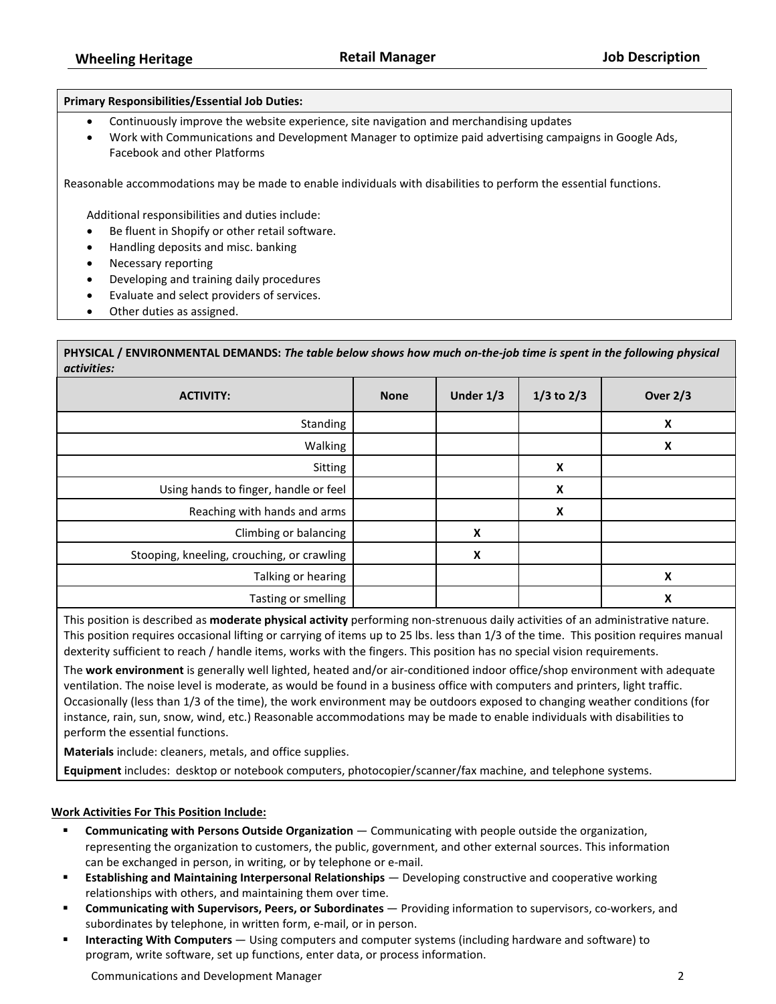#### **Primary Responsibilities/Essential Job Duties:**

- Continuously improve the website experience, site navigation and merchandising updates
- Work with Communications and Development Manager to optimize paid advertising campaigns in Google Ads, Facebook and other Platforms

Reasonable accommodations may be made to enable individuals with disabilities to perform the essential functions.

Additional responsibilities and duties include:

- Be fluent in Shopify or other retail software.
- Handling deposits and misc. banking
- Necessary reporting
- Developing and training daily procedures
- Evaluate and select providers of services.
- Other duties as assigned.

**PHYSICAL / ENVIRONMENTAL DEMANDS:** *The table below shows how much on-the-job time is spent in the following physical activities:*

| <b>ACTIVITY:</b>                           | <b>None</b> | Under 1/3 | $1/3$ to $2/3$ | <b>Over 2/3</b> |
|--------------------------------------------|-------------|-----------|----------------|-----------------|
| Standing                                   |             |           |                | X               |
| Walking                                    |             |           |                | X               |
| Sitting                                    |             |           | X              |                 |
| Using hands to finger, handle or feel      |             |           | X              |                 |
| Reaching with hands and arms               |             |           | X              |                 |
| Climbing or balancing                      |             | X         |                |                 |
| Stooping, kneeling, crouching, or crawling |             | X         |                |                 |
| Talking or hearing                         |             |           |                | X               |
| Tasting or smelling                        |             |           |                | Χ               |

This position is described as **moderate physical activity** performing non-strenuous daily activities of an administrative nature. This position requires occasional lifting or carrying of items up to 25 lbs. less than 1/3 of the time. This position requires manual dexterity sufficient to reach / handle items, works with the fingers. This position has no special vision requirements.

The **work environment** is generally well lighted, heated and/or air-conditioned indoor office/shop environment with adequate ventilation. The noise level is moderate, as would be found in a business office with computers and printers, light traffic. Occasionally (less than 1/3 of the time), the work environment may be outdoors exposed to changing weather conditions (for instance, rain, sun, snow, wind, etc.) Reasonable accommodations may be made to enable individuals with disabilities to perform the essential functions.

**Materials** include: cleaners, metals, and office supplies.

**Equipment** includes: desktop or notebook computers, photocopier/scanner/fax machine, and telephone systems.

## **Work Activities For This Position Include:**

- **Communicating with Persons Outside Organization** Communicating with people outside the organization, representing the organization to customers, the public, government, and other external sources. This information can be exchanged in person, in writing, or by telephone or e-mail.
- **Establishing and Maintaining Interpersonal Relationships** Developing constructive and cooperative working relationships with others, and maintaining them over time.
- **Communicating with Supervisors, Peers, or Subordinates** Providing information to supervisors, co-workers, and subordinates by telephone, in written form, e-mail, or in person.
- **Interacting With Computers** Using computers and computer systems (including hardware and software) to program, write software, set up functions, enter data, or process information.

Communications and Development Manager 2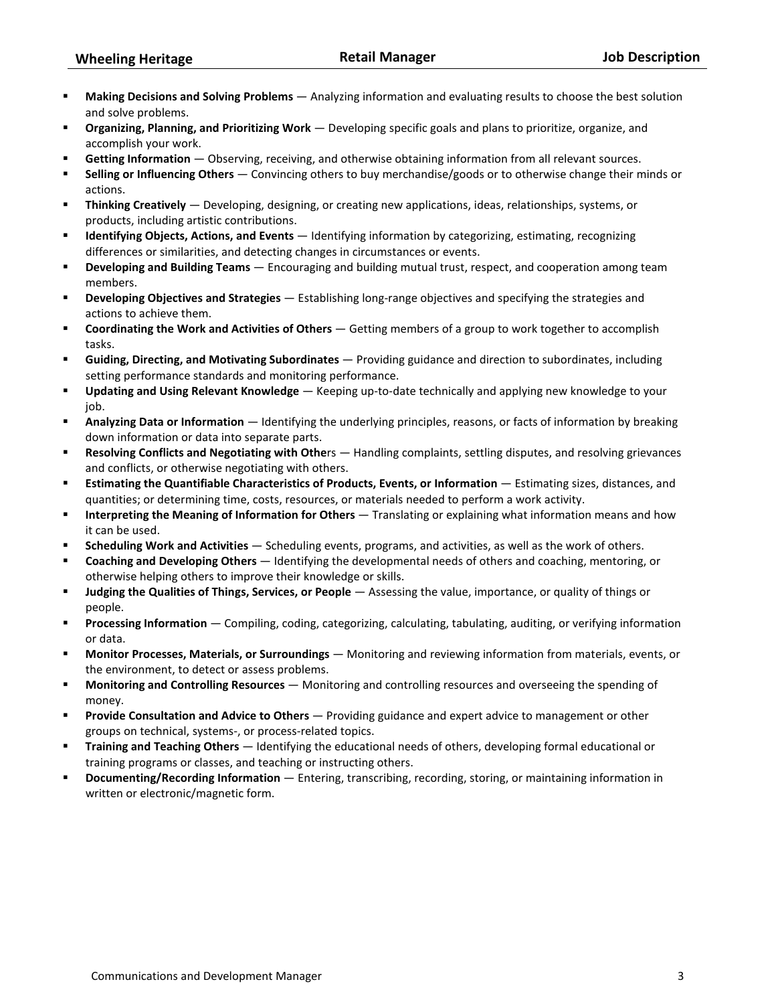- **Making Decisions and Solving Problems** Analyzing information and evaluating results to choose the best solution and solve problems.
- **Organizing, Planning, and Prioritizing Work** Developing specific goals and plans to prioritize, organize, and accomplish your work.
- **Getting Information** Observing, receiving, and otherwise obtaining information from all relevant sources.
- **Selling or Influencing Others** Convincing others to buy merchandise/goods or to otherwise change their minds or actions.
- **Thinking Creatively** Developing, designing, or creating new applications, ideas, relationships, systems, or products, including artistic contributions.
- **Identifying Objects, Actions, and Events** Identifying information by categorizing, estimating, recognizing differences or similarities, and detecting changes in circumstances or events.
- **Developing and Building Teams** Encouraging and building mutual trust, respect, and cooperation among team members.
- **Developing Objectives and Strategies**  Establishing long-range objectives and specifying the strategies and actions to achieve them.
- **Coordinating the Work and Activities of Others** Getting members of a group to work together to accomplish tasks.
- **Guiding, Directing, and Motivating Subordinates** Providing guidance and direction to subordinates, including setting performance standards and monitoring performance.
- **Updating and Using Relevant Knowledge** Keeping up-to-date technically and applying new knowledge to your job.
- **Analyzing Data or Information** Identifying the underlying principles, reasons, or facts of information by breaking down information or data into separate parts.
- **Resolving Conflicts and Negotiating with Othe**rs Handling complaints, settling disputes, and resolving grievances and conflicts, or otherwise negotiating with others.
- **Estimating the Quantifiable Characteristics of Products, Events, or Information** Estimating sizes, distances, and quantities; or determining time, costs, resources, or materials needed to perform a work activity.
- **Interpreting the Meaning of Information for Others** Translating or explaining what information means and how it can be used.
- **Scheduling Work and Activities** Scheduling events, programs, and activities, as well as the work of others.
- **Coaching and Developing Others** Identifying the developmental needs of others and coaching, mentoring, or otherwise helping others to improve their knowledge or skills.
- **Judging the Qualities of Things, Services, or People** Assessing the value, importance, or quality of things or people.
- **Processing Information**  Compiling, coding, categorizing, calculating, tabulating, auditing, or verifying information or data.
- **Monitor Processes, Materials, or Surroundings** Monitoring and reviewing information from materials, events, or the environment, to detect or assess problems.
- **Monitoring and Controlling Resources** Monitoring and controlling resources and overseeing the spending of money.
- **Provide Consultation and Advice to Others**  Providing guidance and expert advice to management or other groups on technical, systems-, or process-related topics.
- **Training and Teaching Others** Identifying the educational needs of others, developing formal educational or training programs or classes, and teaching or instructing others.
- **Documenting/Recording Information** Entering, transcribing, recording, storing, or maintaining information in written or electronic/magnetic form.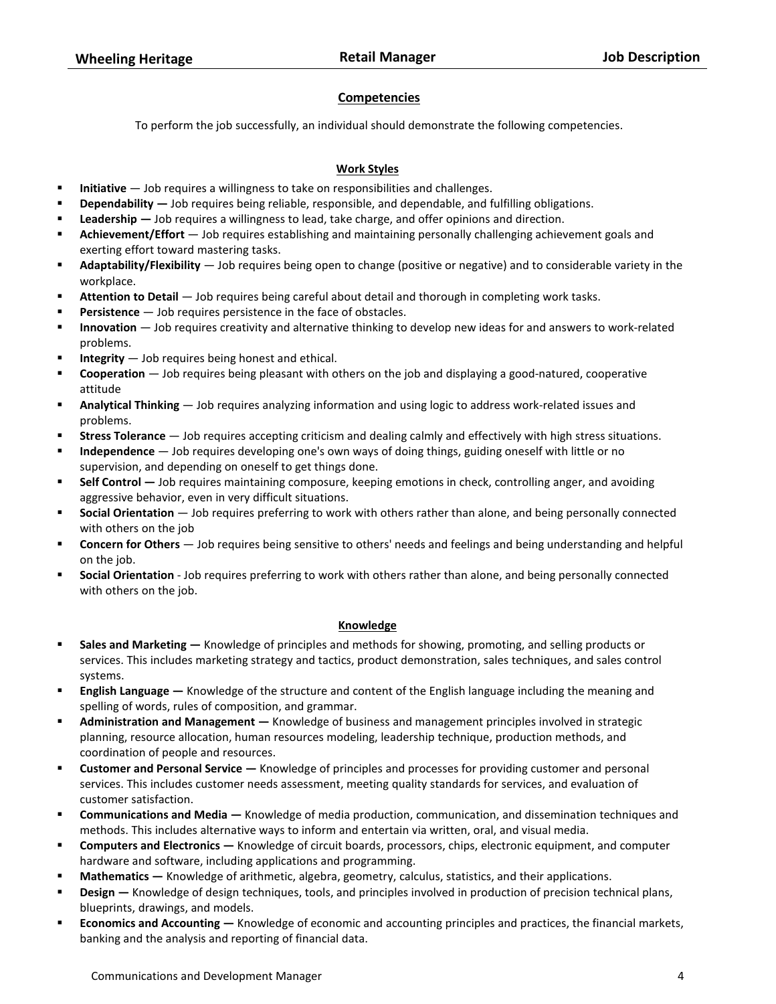# **Competencies**

To perform the job successfully, an individual should demonstrate the following competencies.

# **Work Styles**

- **Initiative** Job requires a willingness to take on responsibilities and challenges.
- **Dependability** Job requires being reliable, responsible, and dependable, and fulfilling obligations.
- **Leadership —** Job requires a willingness to lead, take charge, and offer opinions and direction.
- **Achievement/Effort** Job requires establishing and maintaining personally challenging achievement goals and exerting effort toward mastering tasks.
- **Adaptability/Flexibility** Job requires being open to change (positive or negative) and to considerable variety in the workplace.
- **Attention to Detail** Job requires being careful about detail and thorough in completing work tasks.
- **Persistence** Job requires persistence in the face of obstacles.
- **Innovation** Job requires creativity and alternative thinking to develop new ideas for and answers to work-related problems.
- **Integrity** Job requires being honest and ethical.
- **Cooperation** Job requires being pleasant with others on the job and displaying a good-natured, cooperative attitude
- **Analytical Thinking** Job requires analyzing information and using logic to address work-related issues and problems.
- **Stress Tolerance** Job requires accepting criticism and dealing calmly and effectively with high stress situations.
- **Independence**  Job requires developing one's own ways of doing things, guiding oneself with little or no supervision, and depending on oneself to get things done.
- **Self Control —** Job requires maintaining composure, keeping emotions in check, controlling anger, and avoiding aggressive behavior, even in very difficult situations.
- **Social Orientation** Job requires preferring to work with others rather than alone, and being personally connected with others on the job
- **Concern for Others** Job requires being sensitive to others' needs and feelings and being understanding and helpful on the job.
- **Social Orientation** Job requires preferring to work with others rather than alone, and being personally connected with others on the job.

## **Knowledge**

- **Sales and Marketing —** Knowledge of principles and methods for showing, promoting, and selling products or services. This includes marketing strategy and tactics, product demonstration, sales techniques, and sales control systems.
- **English Language —** Knowledge of the structure and content of the English language including the meaning and spelling of words, rules of composition, and grammar.
- **Administration and Management** Knowledge of business and management principles involved in strategic planning, resource allocation, human resources modeling, leadership technique, production methods, and coordination of people and resources.
- **Customer and Personal Service —** Knowledge of principles and processes for providing customer and personal services. This includes customer needs assessment, meeting quality standards for services, and evaluation of customer satisfaction.
- **Communications and Media** Knowledge of media production, communication, and dissemination techniques and methods. This includes alternative ways to inform and entertain via written, oral, and visual media.
- **Computers and Electronics —** Knowledge of circuit boards, processors, chips, electronic equipment, and computer hardware and software, including applications and programming.
- **Mathematics** Knowledge of arithmetic, algebra, geometry, calculus, statistics, and their applications.
- **Design —** Knowledge of design techniques, tools, and principles involved in production of precision technical plans, blueprints, drawings, and models.
- **Economics and Accounting —** Knowledge of economic and accounting principles and practices, the financial markets, banking and the analysis and reporting of financial data.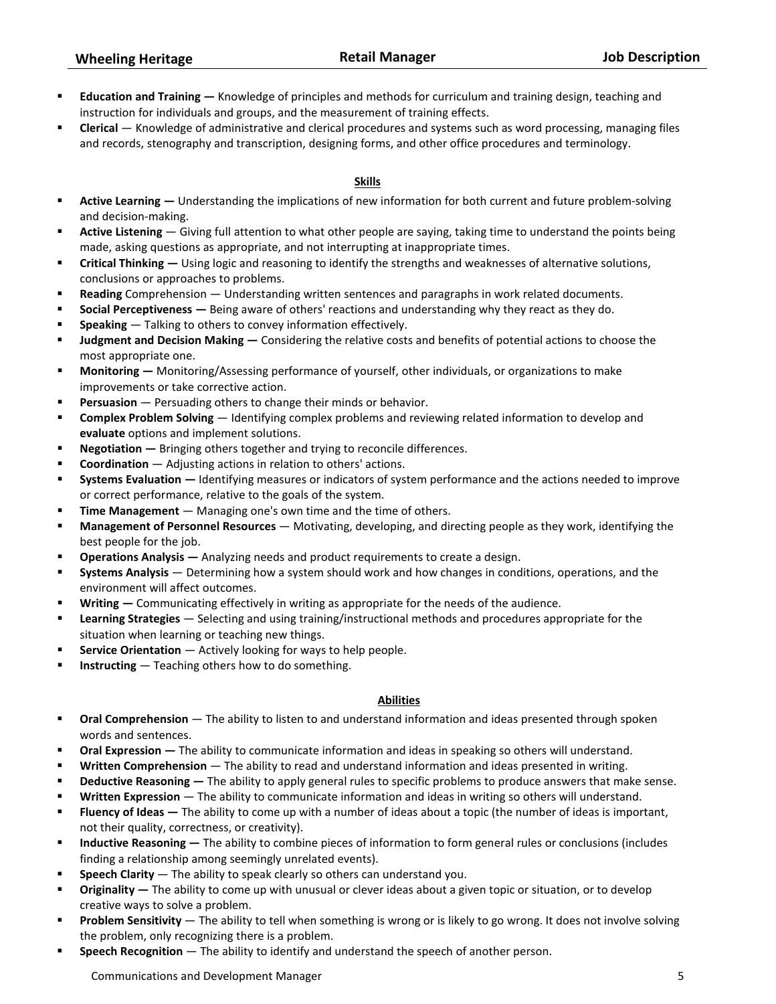- **Education and Training —** Knowledge of principles and methods for curriculum and training design, teaching and instruction for individuals and groups, and the measurement of training effects.
- **Clerical** Knowledge of administrative and clerical procedures and systems such as word processing, managing files and records, stenography and transcription, designing forms, and other office procedures and terminology.

# **Skills**

- **Active Learning** Understanding the implications of new information for both current and future problem-solving and decision-making.
- **Active Listening** Giving full attention to what other people are saying, taking time to understand the points being made, asking questions as appropriate, and not interrupting at inappropriate times.
- **Critical Thinking —** Using logic and reasoning to identify the strengths and weaknesses of alternative solutions, conclusions or approaches to problems.
- **Reading** Comprehension Understanding written sentences and paragraphs in work related documents.
- **Social Perceptiveness —** Being aware of others' reactions and understanding why they react as they do.
- **Speaking** Talking to others to convey information effectively.
- **Judgment and Decision Making —** Considering the relative costs and benefits of potential actions to choose the most appropriate one.
- **Monitoring —** Monitoring/Assessing performance of yourself, other individuals, or organizations to make improvements or take corrective action.
- **Persuasion**  Persuading others to change their minds or behavior.
- **Complex Problem Solving** Identifying complex problems and reviewing related information to develop and **evaluate** options and implement solutions.
- **Negotiation** Bringing others together and trying to reconcile differences.
- **Coordination** Adjusting actions in relation to others' actions.
- **Systems Evaluation** Identifying measures or indicators of system performance and the actions needed to improve or correct performance, relative to the goals of the system.
- **Time Management** Managing one's own time and the time of others.
- **Management of Personnel Resources** Motivating, developing, and directing people as they work, identifying the best people for the job.
- **Operations Analysis —** Analyzing needs and product requirements to create a design.
- **Systems Analysis** Determining how a system should work and how changes in conditions, operations, and the environment will affect outcomes.
- **Writing —** Communicating effectively in writing as appropriate for the needs of the audience.
- **Learning Strategies** Selecting and using training/instructional methods and procedures appropriate for the situation when learning or teaching new things.
- **Service Orientation** Actively looking for ways to help people.
- **Instructing**  Teaching others how to do something.

## **Abilities**

- **Oral Comprehension** The ability to listen to and understand information and ideas presented through spoken words and sentences.
- **Oral Expression —** The ability to communicate information and ideas in speaking so others will understand.
- **Written Comprehension** The ability to read and understand information and ideas presented in writing.
- **Deductive Reasoning** The ability to apply general rules to specific problems to produce answers that make sense.
- **Written Expression** The ability to communicate information and ideas in writing so others will understand.
- **Filuency of Ideas** The ability to come up with a number of ideas about a topic (the number of ideas is important, not their quality, correctness, or creativity).
- **Inductive Reasoning —** The ability to combine pieces of information to form general rules or conclusions (includes finding a relationship among seemingly unrelated events).
- **Speech Clarity** The ability to speak clearly so others can understand you.
- **Ciginality** The ability to come up with unusual or clever ideas about a given topic or situation, or to develop creative ways to solve a problem.
- **Problem Sensitivity** The ability to tell when something is wrong or is likely to go wrong. It does not involve solving the problem, only recognizing there is a problem.
- **Speech Recognition** The ability to identify and understand the speech of another person.

Communications and Development Manager 5